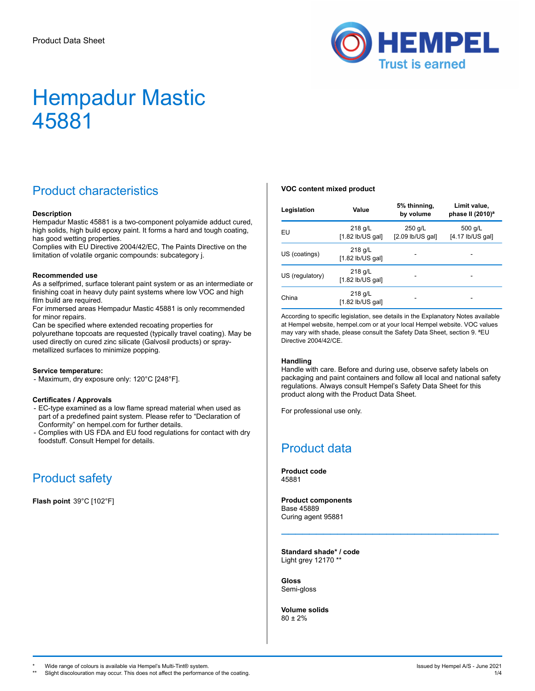

## Product characteristics

#### **Description**

Hempadur Mastic 45881 is a two-component polyamide adduct cured, high solids, high build epoxy paint. It forms a hard and tough coating, has good wetting properties.

Complies with EU Directive 2004/42/EC, The Paints Directive on the limitation of volatile organic compounds: subcategory j.

#### **Recommended use**

As a selfprimed, surface tolerant paint system or as an intermediate or finishing coat in heavy duty paint systems where low VOC and high film build are required.

For immersed areas Hempadur Mastic 45881 is only recommended for minor repairs.

Can be specified where extended recoating properties for polyurethane topcoats are requested (typically travel coating). May be used directly on cured zinc silicate (Galvosil products) or spraymetallized surfaces to minimize popping.

#### **Service temperature:**

- Maximum, dry exposure only: 120°C [248°F].

#### **Certificates / Approvals**

- EC-type examined as a low flame spread material when used as part of a predefined paint system. Please refer to "Declaration of Conformity" on hempel.com for further details.
- Complies with US FDA and EU food regulations for contact with dry foodstuff. Consult Hempel for details.

### Product safety

**Flash point** 39°C [102°F]

#### **VOC content mixed product**

| Legislation                                        | Value                           | 5% thinning,<br>by volume   | Limit value,<br>phase II (2010) <sup>a</sup> |
|----------------------------------------------------|---------------------------------|-----------------------------|----------------------------------------------|
| EU                                                 | $218$ g/L<br>$[1.82$ lb/US gal] | 250 g/L<br>[2.09 lb/US gal] | 500 g/L<br>$[4.17$ lb/US gal]                |
| US (coatings)                                      | $218$ g/L<br>$[1.82$ lb/US gal] |                             |                                              |
| $218$ g/L<br>US (regulatory)<br>$[1.82$ lb/US gal] |                                 |                             |                                              |
| China                                              | $218$ g/L<br>$[1.82$ lb/US gal] |                             |                                              |

According to specific legislation, see details in the Explanatory Notes available at Hempel website, hempel.com or at your local Hempel website. VOC values may vary with shade, please consult the Safety Data Sheet, section 9. ªEU Directive 2004/42/CE.

#### **Handling**

Handle with care. Before and during use, observe safety labels on packaging and paint containers and follow all local and national safety regulations. Always consult Hempel's Safety Data Sheet for this product along with the Product Data Sheet.

\_\_\_\_\_\_\_\_\_\_\_\_\_\_\_\_\_\_\_\_\_\_\_\_\_\_\_\_\_\_\_

For professional use only.

### Product data

**Product code** 45881

**Product components** Base 45889 Curing agent 95881

**Standard shade\* / code** Light grey 12170 \*\*

**Gloss** Semi-gloss

**Volume solids**  $80 + 2%$ 

Wide range of colours is available via Hempel's Multi-Tint® system. In the system of the system of the system.

Slight discolouration may occur. This does not affect the performance of the coating.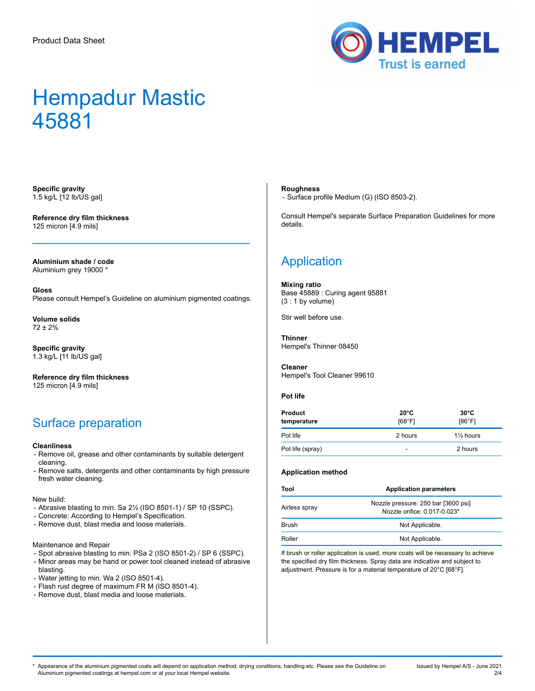

**Specific gravity** 1.5 kg/L [12 lb/US gal]

**Reference dry film thickness** 125 micron [4.9 mils]

**Aluminium shade / code** Aluminium grey 19000 \*

**Gloss** Please consult Hempel's Guideline on aluminium pigmented coatings.

 $\mathcal{L}_\mathcal{L}$  , which is a set of the set of the set of the set of the set of the set of the set of the set of the set of the set of the set of the set of the set of the set of the set of the set of the set of the set of

**Volume solids** 72 ± 2%

**Specific gravity** 1.3 kg/L [11 lb/US gal]

**Reference dry film thickness** 125 micron [4.9 mils]

### Surface preparation

#### **Cleanliness**

- Remove oil, grease and other contaminants by suitable detergent cleaning.
- Remove salts, detergents and other contaminants by high pressure fresh water cleaning.

New build:

- Abrasive blasting to min. Sa 2½ (ISO 8501-1) / SP 10 (SSPC).
- Concrete: According to Hempel's Specification.
- Remove dust, blast media and loose materials.

Maintenance and Repair

- Spot abrasive blasting to min. PSa 2 (ISO 8501-2) / SP 6 (SSPC). - Minor areas may be hand or power tool cleaned instead of abrasive blasting.
- Water jetting to min. Wa 2 (ISO 8501-4).
- Flash rust degree of maximum FR M (ISO 8501-4).
- Remove dust, blast media and loose materials.

#### **Roughness**

- Surface profile Medium (G) (ISO 8503-2).

Consult Hempel's separate Surface Preparation Guidelines for more details.

## **Application**

**Mixing ratio** Base 45889 : Curing agent 95881 (3 : 1 by volume)

Stir well before use.

**Thinner** Hempel's Thinner 08450

**Cleaner** Hempel's Tool Cleaner 99610

#### **Pot life**

| <b>Product</b><br>temperature | $20^{\circ}$ C<br>[68°F] | $30^{\circ}$ C<br>[86°F] |
|-------------------------------|--------------------------|--------------------------|
| Pot life                      | 2 hours                  | $1\frac{1}{2}$ hours     |
| Pot life (spray)              | ۰                        | 2 hours                  |

#### **Application method**

| Tool<br><b>Application parameters</b> |                                                                     |  |
|---------------------------------------|---------------------------------------------------------------------|--|
| Airless spray                         | Nozzle pressure: 250 bar [3600 psi]<br>Nozzle orifice: 0.017-0.023" |  |
| <b>Brush</b>                          | Not Applicable.                                                     |  |
| Roller                                | Not Applicable.                                                     |  |

If brush or roller application is used, more coats will be necessary to achieve the specified dry film thickness. Spray data are indicative and subject to adjustment. Pressure is for a material temperature of 20°C [68°F].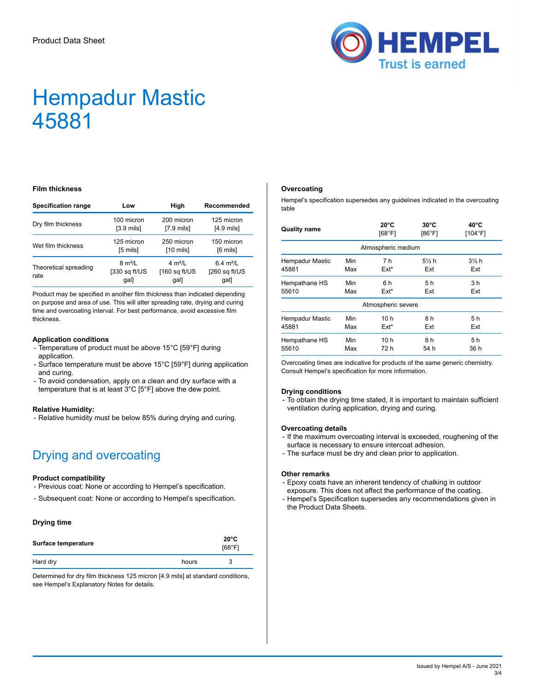

#### **Film thickness**

| <b>Specification range</b>                                                   | Low                  | High                                         | Recommended                            |
|------------------------------------------------------------------------------|----------------------|----------------------------------------------|----------------------------------------|
| Dry film thickness                                                           | 100 micron           | 200 micron                                   | 125 micron                             |
|                                                                              | $[3.9 \text{ mils}]$ | $[7.9 \text{ mils}]$                         | $[4.9 \text{ mils}]$                   |
| Wet film thickness                                                           | 125 micron           | 250 micron                                   | 150 micron                             |
|                                                                              | [5 mils]             | $[10 \text{ m}$                              | $[6 \text{ miles}]$                    |
| $8 \text{ m}^2$ /L<br>Theoretical spreading<br>[330 sq ft/US<br>rate<br>gal] |                      | $4 \text{ m}^2$ /I<br>$160$ sq ft/US<br>gal] | 6.4 $m^2/L$<br>$[260$ sq ft/US<br>gal] |

Product may be specified in another film thickness than indicated depending on purpose and area of use. This will alter spreading rate, drying and curing time and overcoating interval. For best performance, avoid excessive film thickness.

#### **Application conditions**

- Temperature of product must be above 15°C [59°F] during application.
- Surface temperature must be above 15°C [59°F] during application and curing.
- To avoid condensation, apply on a clean and dry surface with a temperature that is at least 3°C [5°F] above the dew point.

#### **Relative Humidity:**

- Relative humidity must be below 85% during drying and curing.

## Drying and overcoating

#### **Product compatibility**

- Previous coat: None or according to Hempel's specification.
- Subsequent coat: None or according to Hempel's specification.

#### **Drying time**

| Surface temperature |       | $20^{\circ}$ C<br>[68°F] |
|---------------------|-------|--------------------------|
| Hard dry            | hours | 3                        |

Determined for dry film thickness 125 micron [4.9 mils] at standard conditions, see Hempel's Explanatory Notes for details.

#### **Overcoating**

Hempel's specification supersedes any guidelines indicated in the overcoating table

| <b>Quality name</b>    |     | $20^{\circ}$ C<br>[68°F] | $30^{\circ}$ C<br>[86°F] | $40^{\circ}$ C<br>[104°F] |
|------------------------|-----|--------------------------|--------------------------|---------------------------|
|                        |     | Atmospheric medium       |                          |                           |
| <b>Hempadur Mastic</b> | Min | 7 h                      | $5\%$ h                  | $3\frac{1}{2}$ h          |
| 45881                  | Max | $Ext*$                   | Ext                      | Ext                       |
| Hempathane HS          | Min | 6 h                      | 5 h                      | 3 h                       |
| 55610                  | Max | $Ext*$                   | Ext                      | Ext                       |
|                        |     | Atmospheric severe       |                          |                           |
| <b>Hempadur Mastic</b> | Min | 10h                      | 8 h                      | 5 h                       |
| 45881                  | Max | $Ext*$                   | Ext                      | Ext                       |
| Hempathane HS          | Min | 10 h                     | 8 h                      | 5 h                       |
| 55610                  | Max | 72 h                     | 54 h                     | 36 h                      |

Overcoating times are indicative for products of the same generic chemistry. Consult Hempel's specification for more information.

#### **Drying conditions**

- To obtain the drying time stated, it is important to maintain sufficient ventilation during application, drying and curing.

#### **Overcoating details**

- If the maximum overcoating interval is exceeded, roughening of the surface is necessary to ensure intercoat adhesion.
- The surface must be dry and clean prior to application.

#### **Other remarks**

- Epoxy coats have an inherent tendency of chalking in outdoor exposure. This does not affect the performance of the coating.
- Hempel's Specification supersedes any recommendations given in the Product Data Sheets.